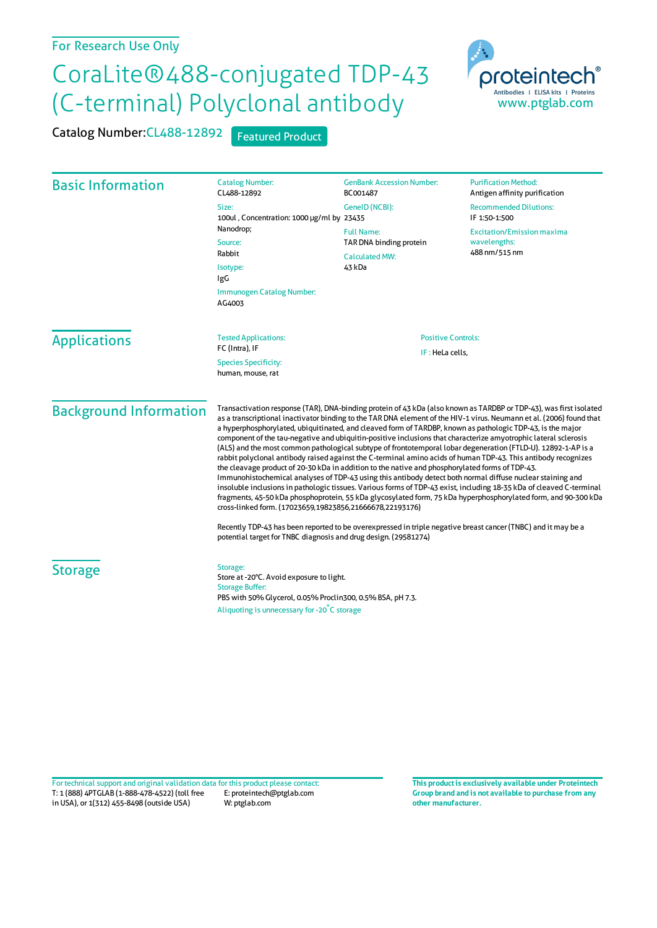## CoraLite®488-conjugated TDP-43 (C-terminal) Polyclonal antibody

Catalog Number: CL488-12892 Featured Product



| <b>Basic Information</b>      | <b>Catalog Number:</b><br>CL488-12892                                                                                                                                                                                                                                                                                                                                                                                                                                                                                                                                                                                                                                                                                                                                                                                                                                                                                                                                                                                                                                                                                                                                                                                                                                                                                                                                                                                     | <b>GenBank Accession Number:</b><br>BC001487                                    | <b>Purification Method:</b><br>Antigen affinity purification       |
|-------------------------------|---------------------------------------------------------------------------------------------------------------------------------------------------------------------------------------------------------------------------------------------------------------------------------------------------------------------------------------------------------------------------------------------------------------------------------------------------------------------------------------------------------------------------------------------------------------------------------------------------------------------------------------------------------------------------------------------------------------------------------------------------------------------------------------------------------------------------------------------------------------------------------------------------------------------------------------------------------------------------------------------------------------------------------------------------------------------------------------------------------------------------------------------------------------------------------------------------------------------------------------------------------------------------------------------------------------------------------------------------------------------------------------------------------------------------|---------------------------------------------------------------------------------|--------------------------------------------------------------------|
|                               | Size:<br>100ul, Concentration: 1000 µg/ml by 23435<br>Nanodrop;<br>Source:<br>Rabbit<br>Isotype:<br>IgG<br>Immunogen Catalog Number:<br>AG4003                                                                                                                                                                                                                                                                                                                                                                                                                                                                                                                                                                                                                                                                                                                                                                                                                                                                                                                                                                                                                                                                                                                                                                                                                                                                            | GenelD (NCBI):                                                                  | <b>Recommended Dilutions:</b><br>IF 1:50-1:500                     |
|                               |                                                                                                                                                                                                                                                                                                                                                                                                                                                                                                                                                                                                                                                                                                                                                                                                                                                                                                                                                                                                                                                                                                                                                                                                                                                                                                                                                                                                                           | <b>Full Name:</b><br>TAR DNA binding protein<br><b>Calculated MW:</b><br>43 kDa | <b>Excitation/Emission maxima</b><br>wavelengths:<br>488 nm/515 nm |
| <b>Applications</b>           | <b>Tested Applications:</b><br>FC (Intra), IF<br><b>Species Specificity:</b><br>human, mouse, rat                                                                                                                                                                                                                                                                                                                                                                                                                                                                                                                                                                                                                                                                                                                                                                                                                                                                                                                                                                                                                                                                                                                                                                                                                                                                                                                         | <b>Positive Controls:</b><br>IF: HeLa cells,                                    |                                                                    |
| <b>Background Information</b> | Transactivation response (TAR), DNA-binding protein of 43 kDa (also known as TARDBP or TDP-43), was first isolated<br>as a transcriptional inactivator binding to the TAR DNA element of the HIV-1 virus. Neumann et al. (2006) found that<br>a hyperphosphorylated, ubiquitinated, and cleaved form of TARDBP, known as pathologic TDP-43, is the major<br>component of the tau-negative and ubiquitin-positive inclusions that characterize amyotrophic lateral sclerosis<br>(ALS) and the most common pathological subtype of frontotemporal lobar degeneration (FTLD-U). 12892-1-AP is a<br>rabbit polyclonal antibody raised against the C-terminal amino acids of human TDP-43. This antibody recognizes<br>the cleavage product of 20-30 kDa in addition to the native and phosphorylated forms of TDP-43.<br>Immunohistochemical analyses of TDP-43 using this antibody detect both normal diffuse nuclear staining and<br>insoluble inclusions in pathologic tissues. Various forms of TDP-43 exist, including 18-35 kDa of cleaved C-terminal<br>fragments, 45-50 kDa phosphoprotein, 55 kDa glycosylated form, 75 kDa hyperphosphorylated form, and 90-300 kDa<br>cross-linked form. (17023659,19823856,21666678,22193176)<br>Recently TDP-43 has been reported to be overexpressed in triple negative breast cancer (TNBC) and it may be a<br>potential target for TNBC diagnosis and drug design. (29581274) |                                                                                 |                                                                    |
| <b>Storage</b>                | Storage:<br>Store at -20°C. Avoid exposure to light.<br><b>Storage Buffer:</b><br>PBS with 50% Glycerol, 0.05% Proclin300, 0.5% BSA, pH 7.3.<br>Aliquoting is unnecessary for -20°C storage                                                                                                                                                                                                                                                                                                                                                                                                                                                                                                                                                                                                                                                                                                                                                                                                                                                                                                                                                                                                                                                                                                                                                                                                                               |                                                                                 |                                                                    |

T: 1 (888) 4PTGLAB (1-888-478-4522) (toll free in USA), or 1(312) 455-8498 (outside USA) E: proteintech@ptglab.com W: ptglab.com Fortechnical support and original validation data forthis product please contact: **This productis exclusively available under Proteintech**

**Group brand and is not available to purchase from any other manufacturer.**